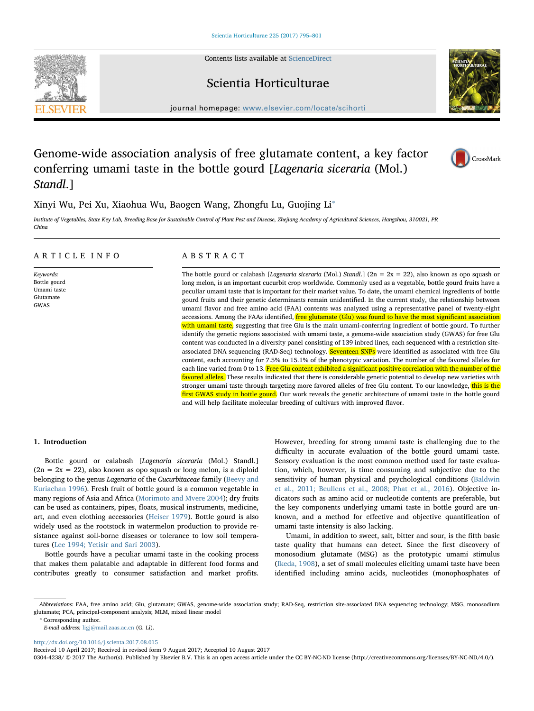Contents lists available at [ScienceDirect](http://www.sciencedirect.com/science/journal/03044238)

## Scientia Horticulturae

journal homepage: [www.elsevier.com/locate/scihorti](http://www.elsevier.com/locate/scihorti)

# Genome-wide association analysis of free glutamate content, a key factor conferring umami taste in the bottle gourd [Lagenaria siceraria (Mol.) Standl.]

Xinyi Wu, Pei Xu, Xiaohua Wu, Baogen Wang, Zhongfu Lu, Guojing Li<sup>\*</sup>

Institute of Vegetables, State Key Lab, Breeding Base for Sustainable Control of Plant Pest and Disease, Zhejiang Academy of Agricultural Sciences, Hangzhou, 310021, PR China

## ARTICLE INFO

Keywords: Bottle gourd Umami taste Glutamate GWAS

## ABSTRACT

The bottle gourd or calabash [Lagenaria siceraria (Mol.) Standl.] ( $2n = 2x = 22$ ), also known as opo squash or long melon, is an important cucurbit crop worldwide. Commonly used as a vegetable, bottle gourd fruits have a peculiar umami taste that is important for their market value. To date, the umami chemical ingredients of bottle gourd fruits and their genetic determinants remain unidentified. In the current study, the relationship between umami flavor and free amino acid (FAA) contents was analyzed using a representative panel of twenty-eight accessions. Among the FAAs identified, *free glutamate (Glu) was found to have the most significant association* with umami taste, suggesting that free Glu is the main umami-conferring ingredient of bottle gourd. To further identify the genetic regions associated with umami taste, a genome-wide association study (GWAS) for free Glu content was conducted in a diversity panel consisting of 139 inbred lines, each sequenced with a restriction siteassociated DNA sequencing (RAD-Seq) technology. Seventeen SNPs were identified as associated with free Glu content, each accounting for 7.5% to 15.1% of the phenotypic variation. The number of the favored alleles for each line varied from 0 to 13. Free Glu content exhibited a significant positive correlation with the number of the favored alleles. These results indicated that there is considerable genetic potential to develop new varieties with stronger umami taste through targeting more favored alleles of free Glu content. To our knowledge, this is the first GWAS study in bottle gourd. Our work reveals the genetic architecture of umami taste in the bottle gourd and will help facilitate molecular breeding of cultivars with improved flavor.

## 1. Introduction

Bottle gourd or calabash [Lagenaria siceraria (Mol.) Standl.]  $(2n = 2x = 22)$ , also known as opo squash or long melon, is a diploid belonging to the genus Lagenaria of the Cucurbitaceae family ([Beevy and](#page-6-0) [Kuriachan 1996](#page-6-0)). Fresh fruit of bottle gourd is a common vegetable in many regions of Asia and Africa ([Morimoto and Mvere 2004\)](#page-6-1); dry fruits can be used as containers, pipes, floats, musical instruments, medicine, art, and even clothing accessories ([Heiser 1979\)](#page-6-2). Bottle gourd is also widely used as the rootstock in watermelon production to provide resistance against soil-borne diseases or tolerance to low soil temperatures ([Lee 1994; Yetisir and Sari 2003\)](#page-6-3).

Bottle gourds have a peculiar umami taste in the cooking process that makes them palatable and adaptable in different food forms and contributes greatly to consumer satisfaction and market profits.

However, breeding for strong umami taste is challenging due to the difficulty in accurate evaluation of the bottle gourd umami taste. Sensory evaluation is the most common method used for taste evaluation, which, however, is time consuming and subjective due to the sensitivity of human physical and psychological conditions ([Baldwin](#page-6-4) [et al., 2011; Beullens et al., 2008; Phat et al., 2016\)](#page-6-4). Objective indicators such as amino acid or nucleotide contents are preferable, but the key components underlying umami taste in bottle gourd are unknown, and a method for effective and objective quantification of umami taste intensity is also lacking.

Umami, in addition to sweet, salt, bitter and sour, is the fifth basic taste quality that humans can detect. Since the first discovery of monosodium glutamate (MSG) as the prototypic umami stimulus ([Ikeda, 1908](#page-6-5)), a set of small molecules eliciting umami taste have been identified including amino acids, nucleotides (monophosphates of

<span id="page-0-0"></span>⁎ Corresponding author.

E-mail address: [ligj@mail.zaas.ac.cn](mailto:ligj@mail.zaas.ac.cn) (G. Li).

<http://dx.doi.org/10.1016/j.scienta.2017.08.015>

0304-4238/ © 2017 The Author(s). Published by Elsevier B.V. This is an open access article under the CC BY-NC-ND license (http://creativecommons.org/licenses/BY-NC-ND/4.0/).





CrossMark

Abbreviations: FAA, free amino acid; Glu, glutamate; GWAS, genome-wide association study; RAD-Seq, restriction site-associated DNA sequencing technology; MSG, monosodium glutamate; PCA, principal-component analysis; MLM, mixed linear model

Received 10 April 2017; Received in revised form 9 August 2017; Accepted 10 August 2017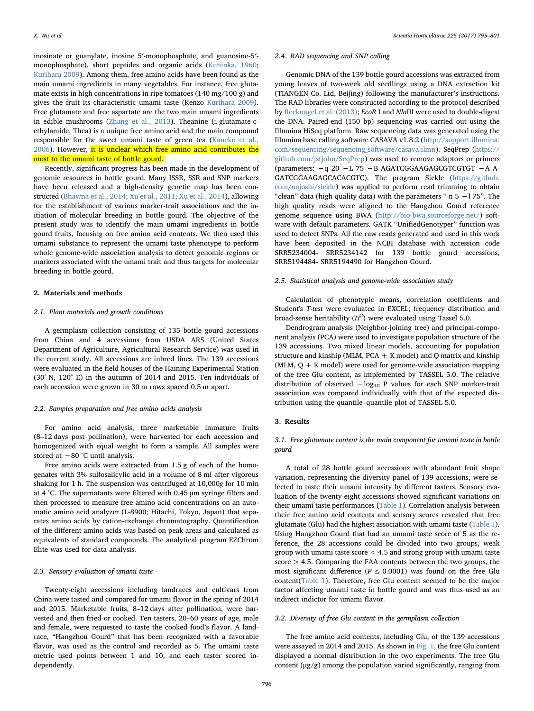inosinate or guanylate, inosine 5′-monophosphate, and guanosine-5′ monophosphate), short peptides and organic acids ([Kuninka, 1960](#page-6-6); [Kurihara 2009\)](#page-6-7). Among them, free amino acids have been found as the main umami ingredients in many vegetables. For instance, free glutamate exists in high concentrations in ripe tomatoes (140 mg/100 g) and gives the fruit its characteristic umami taste (Kenzo [Kurihara 2009](#page-6-7)). Free glutamate and free aspartate are the two main umami ingredients in edible mushrooms [\(Zhang et al., 2013](#page-6-8)). Theanine (L-glutamate-cethylamide, Thea) is a unique free amino acid and the main compound responsible for the sweet umami taste of green tea ([Kaneko et al.,](#page-6-9) [2006\)](#page-6-9). However, it is unclear which free amino acid contributes the most to the umami taste of bottle gourd.

Recently, significant progress has been made in the development of genomic resources in bottle gourd. Many ISSR, SSR and SNP markers have been released and a high-density genetic map has been constructed ([Bhawna et al., 2014; Xu et al., 2011; Xu et al., 2014\)](#page-6-10), allowing for the establishment of various marker-trait associations and the initiation of molecular breeding in bottle gourd. The objective of the present study was to identify the main umami ingredients in bottle gourd fruits, focusing on free amino acid contents. We then used this umami substance to represent the umami taste phenotype to perform whole genome-wide association analysis to detect genomic regions or markers associated with the umami trait and thus targets for molecular breeding in bottle gourd.

### 2. Materials and methods

## 2.1. Plant materials and growth conditions

A germplasm collection consisting of 135 bottle gourd accessions from China and 4 accessions from USDA ARS (United States Department of Agriculture, Agricultural Research Service) was used in the current study. All accessions are inbred lines. The 139 accessions were evaluated in the field houses of the Haining Experimental Station (30° N, 120° E) in the autumn of 2014 and 2015. Ten individuals of each accession were grown in 30 m rows spaced 0.5 m apart.

## 2.2. Samples preparation and free amino acids analysis

For amino acid analysis, three marketable immature fruits (8–12 days post pollination), were harvested for each accession and homogenized with equal weight to form a sample. All samples were stored at −80 °C until analysis.

Free amino acids were extracted from 1.5 g of each of the homogenates with 3% sulfosalicylic acid in a volume of 8 ml after vigorous shaking for 1 h. The suspension was centrifuged at 10,000g for 10 min at 4 °C. The supernatants were filtered with 0.45 μm syringe filters and then processed to measure free amino acid concentrations on an automatic amino acid analyzer (L-8900; Hitachi, Tokyo, Japan) that separates amino acids by cation-exchange chromatography. Quantification of the different amino acids was based on peak areas and calculated as equivalents of standard compounds. The analytical program EZChrom Elite was used for data analysis.

## 2.3. Sensory evaluation of umami taste

Twenty-eight accessions including landraces and cultivars from China were tasted and compared for umami flavor in the spring of 2014 and 2015. Marketable fruits, 8–12 days after pollination, were harvested and then fried or cooked. Ten tasters, 20–60 years of age, male and female, were requested to taste the cooked food's flavor. A landrace, "Hangzhou Gourd" that has been recognized with a favorable flavor, was used as the control and recorded as 5. The umami taste metric used points between 1 and 10, and each taster scored independently.

#### 2.4. RAD sequencing and SNP calling

Genomic DNA of the 139 bottle gourd accessions was extracted from young leaves of two-week old seedlings using a DNA extraction kit (TIANGEN Co. Ltd, Beijing) following the manufacturer's instructions. The RAD libraries were constructed according to the protocol described by [Recknagel et al. \(2013\);](#page-6-11) EcoR I and NlaIII were used to double-digest the DNA. Paired-end (150 bp) sequencing was carried out using the Illumina HiSeq platform. Raw sequencing data was generated using the Illumina base calling software CASAVA v1.8.2 [\(http://support.illumina.](http://support.illumina.com/sequencing/sequencing_software/casava.ilmn) [com/sequencing/sequencing\\_software/casava.ilmn](http://support.illumina.com/sequencing/sequencing_software/casava.ilmn)). SeqPrep [\(https://](https://github.com/jstjohn/SeqPrep) [github.com/jstjohn/SeqPrep\)](https://github.com/jstjohn/SeqPrep) was used to remove adaptors or primers (parameters: −q 20 −L 75 −B AGATCGGAAGAGCGTCGTGT −A A-GATCGGAAGAGCACACGTC). The program Sickle ([https://github.](https://github.com/najoshi/sickle) [com/najoshi/sickle](https://github.com/najoshi/sickle)) was applied to perform read trimming to obtain "clean" data (high quality data) with the parameters "-n  $5 - 175$ ". The high quality reads were aligned to the Hangzhou Gourd reference genome sequence using BWA (<http://bio-bwa.sourceforge.net/>) software with default parameters. GATK "UnifiedGenotyper" function was used to detect SNPs. All the raw reads generated and used in this work have been deposited in the NCBI database with accession code SRR5234004- SRR5234142 for 139 bottle gourd accessions, SRR5194484- SRR5194490 for Hangzhou Gourd.

## 2.5. Statistical analysis and genome-wide association study

Calculation of phenotypic means, correlation coefficients and Student's T-test were evaluated in EXCEL; frequency distribution and broad-sense heritability ( $H^2$ ) were evaluated using Tassel 5.0.

Dendrogram analysis (Neighbor-joining tree) and principal-component analysis (PCA) were used to investigate population structure of the 139 accessions. Two mixed linear models, accounting for population structure and kinship (MLM,  $PCA + K$  model) and Q matrix and kinship (MLM,  $Q + K$  model) were used for genome-wide association mapping of the free Glu content, as implemented by TASSEL 5.0. The relative distribution of observed  $-\log_{10} P$  values for each SNP marker-trait association was compared individually with that of the expected distribution using the quantile–quantile plot of TASSEL 5.0.

#### 3. Results

## 3.1. Free glutamate content is the main component for umami taste in bottle gourd

A total of 28 bottle gourd accessions with abundant fruit shape variation, representing the diversity panel of 139 accessions, were selected to taste their umami intensity by different tasters. Sensory evaluation of the twenty-eight accessions showed significant variations on their umami taste performances [\(Table 1](#page-2-0)). Correlation analysis between their free amino acid contents and sensory scores revealed that free glutamate (Glu) had the highest association with umami taste ([Table 1](#page-2-0)). Using Hangzhou Gourd that had an umami taste score of 5 as the reference, the 28 accessions could be divided into two groups, weak group with umami taste score < 4.5 and strong group with umami taste score > 4.5. Comparing the FAA contents between the two groups, the most significant difference ( $P \leq 0.0001$ ) was found on the free Glu content([Table 1](#page-2-0)). Therefore, free Glu content seemed to be the major factor affecting umami taste in bottle gourd and was thus used as an indirect indictor for umami flavor.

#### 3.2. Diversity of free Glu content in the germplasm collection

The free amino acid contents, including Glu, of the 139 accessions were assayed in 2014 and 2015. As shown in [Fig. 1](#page-3-0), the free Glu content displayed a normal distribution in the two experiments. The free Glu content (μg/g) among the population varied significantly, ranging from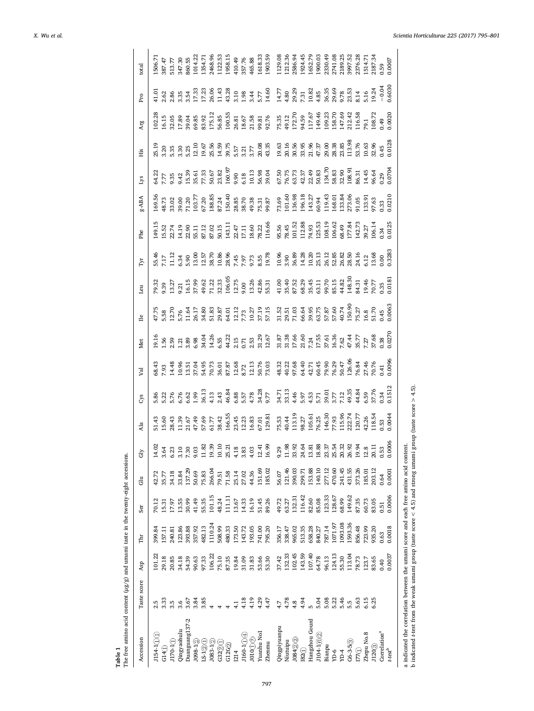<span id="page-2-0"></span>

| Accession                        | Taste score | Asp    | Ĕ       | Ser    | du     | Gly             | Ala                        | Cys                                  | Val                                                            | Met                                      | $\mathbb{I}$ e                                     | Leu                      | Tуr                     | Phe                                                    | 8-ABA                                     | Lys                                        | His            | Arg                                  | Pro                     | total   |
|----------------------------------|-------------|--------|---------|--------|--------|-----------------|----------------------------|--------------------------------------|----------------------------------------------------------------|------------------------------------------|----------------------------------------------------|--------------------------|-------------------------|--------------------------------------------------------|-------------------------------------------|--------------------------------------------|----------------|--------------------------------------|-------------------------|---------|
| $J154 - 1(1)(1)$                 | 2.5         | 101.22 | 399.84  | 70.12  | 42.72  | 14.0            |                            |                                      |                                                                |                                          |                                                    | 9.32                     |                         | 149.1                                                  |                                           | 54.22                                      | 25.19          | 102.28                               |                         | 1506.71 |
| G14()                            | 3.33        | 29.18  | 157.11  | 15.31  | 35.77  | 3.64            | 5.60                       | 5.82<br>5.27 K C Q<br>5.6            | 58.43<br>2.93<br>2.43                                          | <u>ា</u><br>ខេត្ត និង<br>ក្នុង           | $\frac{47.75}{5.58}$                               | $\ddot{39}$              | $\ddot{17}$             |                                                        | 169.56<br>48.73<br>33.02                  | 77                                         | 20             |                                      | .62                     | 87.47   |
| J170-1(1)                        | 3.5         | 20.85  | 240.81  | 17.97  | 34.18  | 6.23            | 28.43                      |                                      |                                                                |                                          |                                                    | 13.27                    | 1.12                    | $5.52$<br>$2.74$                                       |                                           | 9.35                                       | .35            | 16.15<br>32.05                       | 2.86                    | 513.77  |
| Qingyaohulu                      | 3.6         | 34.18  | 123.86  | 13.55  | 33.84  | 3.10            | 1.39                       |                                      |                                                                |                                          | 5.76                                               | 21                       |                         | 4.19                                                   | 89.00                                     |                                            | 1.30           | 17.89                                | 3.35                    | 347.30  |
| Duanguang <sub>137-2</sub>       | 3.67        | 54.39  | 393.88  | 30.99  | 137.29 | 7.30            | 21.67                      |                                      |                                                                | 3.89                                     | 1.64                                               | .6.15                    | 6.34<br>5.90            | 22.90                                                  | 71.20                                     |                                            | 5.25           | 39.04                                | 3.54                    | 860.55  |
| $\textbf{J098-1}\textcircled{2}$ | 3.84        | 90.63  | 357.92  | 41.49  | 50.69  | 9.03            | 47.49                      | .99                                  | $10.56$<br>$13.54$                                             | 6.98                                     | 26.17                                              | 37.99                    | 13.00                   | 5.11                                                   | 103.77                                    |                                            | 12.10          | 59.85                                | 17.33                   | 1014.22 |
| 1201                             | 3.85        | 97.33  | 482.13  | 55.35  | 75.83  | 11.82<br>19.39  | 57.69                      | 36.13                                | 54.95                                                          | 34.04                                    |                                                    | 19.62                    |                         | 87.12<br>87.02                                         |                                           | $9.42$<br>15.39<br>35.61<br>77.33<br>50.67 | 19.67          | 33.92                                | 17.23                   | 1354.71 |
| $J083 - 1(2)$                    |             | 106.22 | 1110.24 | 101.15 | 266.04 |                 | 51.77                      | 4.13                                 | 70.73                                                          | 14.26                                    | 34.80<br>51.83                                     | 71.22                    | 12.57<br>38.70          |                                                        | 67.20<br>188.85                           |                                            | 25.56          | 175.12                               | 26.06                   | 2468.96 |
| G32200                           |             | 75.10  | 508.99  | 48.24  | 79.51  | $\circ$<br>10.1 | 38.42                      | 2.43                                 | 36.01                                                          | 5.55                                     | 29.87                                              | 32.33                    |                         | 50.15                                                  | 87.24                                     | 23.82                                      | 14.59          | 56.85                                | 11.43                   | 1122.53 |
| $G120\textcircled{2}$            |             | 87.35  | 480.33  | 111.11 | 71.58  | 25.21           | 166.55                     | 46.84                                | 87.87                                                          | 44.22                                    | 64.01                                              | .06.05                   | 10.86<br>28.96          | 143.11                                                 | 150.40                                    | 160.97                                     | 39.75          | 100.55                               | 43.28                   | 1958.15 |
| 1214                             |             | 19.84  | 173.50  | 13.67  | 25.14  | 4.18            | 23.45                      |                                      | 12.68                                                          |                                          |                                                    | 12.75                    | 7.45                    |                                                        |                                           |                                            |                | 26.81                                |                         | 410.49  |
| $J160 - 1(1)(4)$                 | 4.18        | 31.09  | 143.72  | 14.33  | 27.02  | 3.83            | 12.23                      |                                      |                                                                |                                          | $12.12$<br>7.73                                    | 00.6                     | 7.97                    | 22.47<br>17.11                                         |                                           |                                            | 5.57<br>3.21   | 18.67                                | $3.10$<br>$1.98$        | 357.76  |
| J010(1)                          | 4.19        | 31.83  | 193.05  | 16.19  | 44.36  | 4.03            | 16.83                      | 6.88<br>5.57<br>4.78                 | $\begin{array}{c} 8.72 \\ 12.13 \\ 50.76 \\ 73.03 \end{array}$ | $2.15$<br>$0.71$<br>$2.53$               |                                                    |                          | 9.73<br>8.55            |                                                        | 28.85<br>38.70<br>49.33<br>75.31<br>99.87 |                                            | 3.77           | 21.58<br>99.81<br>92.76              | 3.44                    | 465.88  |
| Yuanhu No <sub>1</sub>           | 4.29        | 53.66  | 741.00  | 51.45  | 151.69 | 12.41           |                            |                                      |                                                                |                                          | 10.27<br>37.15<br>57.15                            | 13.26<br>42.86<br>55.31  |                         |                                                        |                                           |                                            |                |                                      | 5.77                    | 1618.33 |
| Zhenmu                           | 4.47        | 53.30  | 795.20  | 89.26  | 185.02 | 16.99           | 67.01<br>129.81            | 34.28<br>9.77                        |                                                                | 31.29<br>12.67                           |                                                    |                          | 19.78                   | 18.60<br>78.22<br>116.66                               |                                           | 9.90<br>6.18<br>10.13<br>56.98<br>59.04    | 20.35<br>43.35 |                                      | 14.60                   | 1903.59 |
| Qingpiyuanpu                     | 4.7         | 37.42  | 356.17  | 49.72  | 56.07  | 9.29            | 75.53                      | 34.71<br>33.13<br>4.46               |                                                                |                                          |                                                    | 41.00                    | 10.96<br>3.90           |                                                        | 73.69<br>101.60                           | 57.50<br>76.75<br>53.73<br>42.37<br>50.83  | 19.63          | 75.35<br>49.12                       | 14.77                   | 1129.08 |
| Niutuipu                         | 4.78        | 132.33 | 338.47  | 63.27  | 121.46 | 11.98           | 40.44                      |                                      |                                                                |                                          |                                                    | 35.40                    |                         |                                                        |                                           |                                            | 20.16          |                                      | 4.80                    | 1212.36 |
| J08422                           | 4.8         | 102.45 | 965.02  | 132.31 | 390.03 | 33.92           | 113.19                     |                                      | 48.32<br>40.22<br>97.68                                        | 31.87<br>31.38<br>17.66                  | 31.52<br>29.51<br>71.03                            | 87.52                    | 36.89                   | 95.56<br>78.45<br>101.52<br>112.88                     | 136.98                                    |                                            | 30.56          | 172.70                               | 29.29                   | 2586.94 |
| 182()                            | 4.94        | 143.59 | 513.35  | 116.42 | 299.71 | 24.64           | 98.27                      | 5.97                                 | 64.40                                                          | 21.60                                    |                                                    | 58.29                    | 14.28                   |                                                        |                                           |                                            | 33.95          | 94.59                                | 7.31                    | .924.45 |
| Hangzhou Gourd                   |             | 107.40 | 658.28  | 82.60  | 153.88 | 13.81           | 105.61                     | $4.53$<br>5.71                       | $42.71$<br>$60.45$<br>$79.90$<br>$76.47$<br>$126.06$           |                                          | 66.64<br>39.95<br>57.87<br>50.90<br>40.74<br>40.90 | 15.45                    | 10.20                   | 74.93<br>125.53<br>108.19<br>106.62<br>58.49<br>177.84 | 196.18<br>143.27                          |                                            | 21.96<br>47.37 | 117.67                               | 10.82                   | 652.79  |
| $J104 - 1@2$                     | 5.04        | 64.78  | 840.27  | 85.08  | 140.10 | 18.88           | 76.25                      |                                      |                                                                |                                          |                                                    | 53.11                    | 25.13                   |                                                        | 60.94                                     |                                            |                | 149.46                               | 4.85                    | 1900.03 |
| Bianpu                           | 5.08        | 96.13  | 787.14  | 123.33 | 277.12 | 23.3            | 146.30                     | 39.01                                |                                                                | 7.24<br>17.55<br>37.61<br>16.36<br>17.44 |                                                    | 99.70                    | 26.12                   |                                                        | 119.43                                    | 134.70                                     | 29.00          | 109.23<br>158.70<br>147.42<br>212.42 | 36.35<br>29.69<br>23.53 | 2330.49 |
| уD-6                             | 5.22        | 124.13 | 1071.97 | 128.67 | 470.60 | 25.54           | 7,93                       |                                      |                                                                |                                          |                                                    |                          |                         |                                                        |                                           | 58.83<br>32.90                             |                |                                      |                         | 2741.08 |
| $FD-4$                           | 5.46        | 55.30  | 1093.08 | 68.99  | 241.45 | 20.32           |                            |                                      |                                                                |                                          |                                                    | 35.15<br>14.82<br>148.30 | 52.85<br>52.85<br>52.83 |                                                        | 168.01<br>133.84<br>273.06                |                                            | 28.38<br>23.85 |                                      |                         | 2189.25 |
| $G6 - 3 - 5(3)$                  | 5.5         | 113.04 | 1593.36 | 149.62 | 431.55 | 26.92           | L15.96<br>222.74<br>L20.77 | $\frac{2.77}{7.12}$<br>7.13<br>44.84 |                                                                |                                          |                                                    |                          |                         |                                                        |                                           | [0.80]                                     | 113.98         |                                      |                         | 3997.52 |
| $1770$                           | 5.63        | 78.73  | 856.48  | 87.35  | 373.26 | 19.94           |                            |                                      | 6.84                                                           | 15.77                                    | 75.27                                              | 34.31                    | 24.16                   |                                                        | 91.05                                     | 86.31                                      | 53.76          | 116.58                               | 3.14                    | 2376.28 |
| Zhepu No.8                       | 6.15        | 123.7  | 723.99  | 60.73  | 185.01 | 12.8            | 12.26                      | 5.59                                 | 27.46<br>0.76                                                  | .27                                      | $\frac{16.8}{51.70}$                               | 9.46                     | 5.12                    | 39.27                                                  | 133.91                                    | 4.45                                       | 0.63           | 9.1                                  | $-16$                   | 514.71  |
| J120 <sub>(3)</sub>              | 6.25        | 83.65  | 935.20  | 83.05  | 203.12 | 20.1            | 118.54                     | 37.76                                |                                                                | 37.68                                    |                                                    | 77                       | 3.68                    | 106.14                                                 | 97.63                                     | 6.64                                       | 32.96          | 108.72                               | 19.24                   | 2187.34 |
| Correlation <sup>a</sup>         |             | 0.40   | 0.63    | 0.51   | 0.64   | 0.53            | 1.53                       | 0.34                                 | $\ddot{=}$                                                     | 1.38                                     | 0.45                                               | 0.35                     | 00.                     | 0.34                                                   | ).33                                      | 0.29                                       | 0.45           | 1.49                                 | $-0.0 -$                | 0.59    |
| $t\hbox{-}test$ <sup>b</sup>     |             | 0.0037 | 0.0018  | 0.0006 | 0.0001 | ఠ<br>0.00       | 0.0044                     | 0.1512                               | 0.0096                                                         | 0.0270                                   | 0.063                                              | 0.181                    | 0.3283                  | 0.125                                                  | 0.0210                                    | 0.0704                                     | 0.128          | 0.0020                               | 0.6030                  | 1.0007  |

797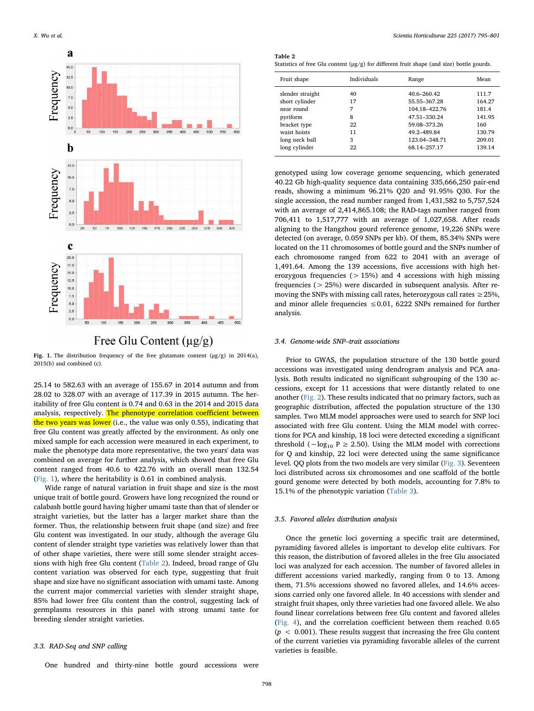<span id="page-3-0"></span>

## Free Glu Content  $(\mu g/g)$

Fig. 1. The distribution frequency of the free glutamate content  $(\mu g/g)$  in 2014(a), 2015(b) and combined (c).

25.14 to 582.63 with an average of 155.67 in 2014 autumn and from 28.02 to 328.07 with an average of 117.39 in 2015 autumn. The heritability of free Glu content is 0.74 and 0.63 in the 2014 and 2015 data analysis, respectively. The phenotype correlation coefficient between the two years was lower (i.e., the value was only 0.55), indicating that free Glu content was greatly affected by the environment. As only one mixed sample for each accession were measured in each experiment, to make the phenotype data more representative, the two years' data was combined on average for further analysis, which showed that free Glu content ranged from 40.6 to 422.76 with an overall mean 132.54 ([Fig. 1\)](#page-3-0), where the heritability is 0.61 in combined analysis.

Wide range of natural variation in fruit shape and size is the most unique trait of bottle gourd. Growers have long recognized the round or calabash bottle gourd having higher umami taste than that of slender or straight varieties, but the latter has a larger market share than the former. Thus, the relationship between fruit shape (and size) and free Glu content was investigated. In our study, although the average Glu content of slender straight type varieties was relatively lower than that of other shape varieties, there were still some slender straight accessions with high free Glu content ([Table 2\)](#page-3-1). Indeed, broad range of Glu content variation was observed for each type, suggesting that fruit shape and size have no significant association with umami taste. Among the current major commercial varieties with slender straight shape, 85% had lower free Glu content than the control, suggesting lack of germplasms resources in this panel with strong umami taste for breeding slender straight varieties.

## 3.3. RAD-Seq and SNP calling

<span id="page-3-1"></span>

| Table |  |
|-------|--|
|       |  |

Statistics of free Glu content (μg/g) for different fruit shape (and size) bottle gourds.

| Fruit shape      | Individuals | Range           | Mean   |
|------------------|-------------|-----------------|--------|
| slender straight | 40          | $40.6 - 260.42$ | 111.7  |
| short cylinder   | 17          | 55.55-367.28    | 164.27 |
| near round       | 7           | 104.18-422.76   | 181.4  |
| pyriform         | 8           | 47.51-330.24    | 141.95 |
| bracket type     | 22          | 59.08-373.26    | 160    |
| waist hoists     | 11          | 49.2-489.84     | 130.79 |
| long neck ball   | 3           | 123.04-348.71   | 209.01 |
| long cylinder    | 22          | 68.14-257.17    | 139.14 |

genotyped using low coverage genome sequencing, which generated 40.22 Gb high-quality sequence data containing 335,666,250 pair-end reads, showing a minimum 96.21% Q20 and 91.95% Q30. For the single accession, the read number ranged from 1,431,582 to 5,757,524 with an average of 2,414,865.108; the RAD-tags number ranged from 706,411 to 1,517,777 with an average of 1,027,658. After reads aligning to the Hangzhou gourd reference genome, 19,226 SNPs were detected (on average, 0.059 SNPs per kb). Of them, 85.34% SNPs were located on the 11 chromosomes of bottle gourd and the SNPs number of each chromosome ranged from 622 to 2041 with an average of 1,491.64. Among the 139 accessions, five accessions with high heterozygous frequencies ( $> 15\%$ ) and 4 accessions with high missing frequencies (> 25%) were discarded in subsequent analysis. After removing the SNPs with missing call rates, heterozygous call rates  $\geq$  25%, and minor allele frequencies  $\leq 0.01$ , 6222 SNPs remained for further analysis.

#### 3.4. Genome-wide SNP–trait associations

Prior to GWAS, the population structure of the 130 bottle gourd accessions was investigated using dendrogram analysis and PCA analysis. Both results indicated no significant subgrouping of the 130 accessions, except for 11 accessions that were distantly related to one another ([Fig. 2](#page-4-0)). These results indicated that no primary factors, such as geographic distribution, affected the population structure of the 130 samples. Two MLM model approaches were used to search for SNP loci associated with free Glu content. Using the MLM model with corrections for PCA and kinship, 18 loci were detected exceeding a significant threshold ( $−log_{10}$  P  $≥$  2.50). Using the MLM model with corrections for Q and kinship, 22 loci were detected using the same significance level. QQ plots from the two models are very similar ([Fig. 3\)](#page-4-1). Seventeen loci distributed across six chromosomes and one scaffold of the bottle gourd genome were detected by both models, accounting for 7.8% to 15.1% of the phenotypic variation ([Table 3](#page-5-0)).

### 3.5. Favored alleles distribution analysis

Once the genetic loci governing a specific trait are determined, pyramiding favored alleles is important to develop elite cultivars. For this reason, the distribution of favored alleles in the free Glu associated loci was analyzed for each accession. The number of favored alleles in different accessions varied markedly, ranging from 0 to 13. Among them, 71.5% accessions showed no favored alleles, and 14.6% accessions carried only one favored allele. In 40 accessions with slender and straight fruit shapes, only three varieties had one favored allele. We also found linear correlations between free Glu content and favored alleles ([Fig. 4](#page-5-1)), and the correlation coefficient between them reached 0.65  $(p < 0.001)$ . These results suggest that increasing the free Glu content of the current varieties via pyramiding favorable alleles of the current varieties is feasible.

One hundred and thirty-nine bottle gourd accessions were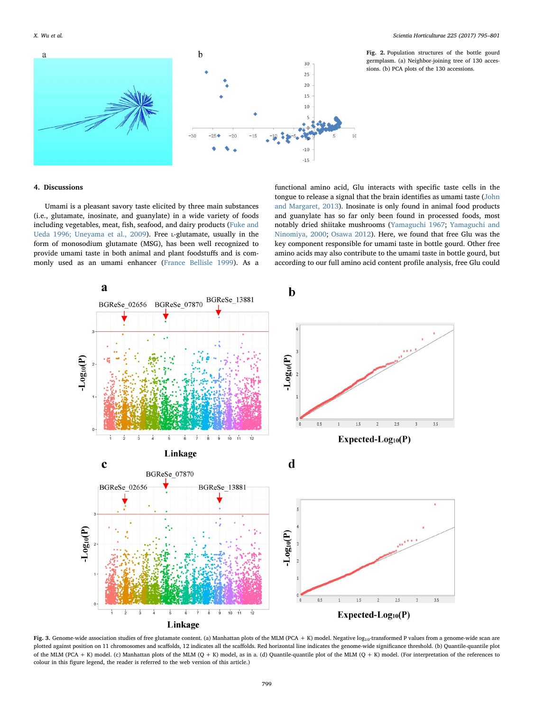<span id="page-4-0"></span>a



Fig. 2. Population structures of the bottle gourd germplasm. (a) Neighbor-joining tree of 130 accessions. (b) PCA plots of the 130 accessions.

## 4. Discussions

Umami is a pleasant savory taste elicited by three main substances (i.e., glutamate, inosinate, and guanylate) in a wide variety of foods including vegetables, meat, fish, seafood, and dairy products [\(Fuke and](#page-6-12) [Ueda 1996; Uneyama et al., 2009](#page-6-12)). Free L-glutamate, usually in the form of monosodium glutamate (MSG), has been well recognized to provide umami taste in both animal and plant foodstuffs and is commonly used as an umami enhancer ([France Bellisle 1999](#page-6-13)). As a

functional amino acid, Glu interacts with specific taste cells in the tongue to release a signal that the brain identifies as umami taste [\(John](#page-6-14) [and Margaret, 2013\)](#page-6-14). Inosinate is only found in animal food products and guanylate has so far only been found in processed foods, most notably dried shiitake mushrooms [\(Yamaguchi 1967;](#page-6-15) [Yamaguchi and](#page-6-16) [Ninomiya, 2000](#page-6-16); [Osawa 2012\)](#page-6-17). Here, we found that free Glu was the key component responsible for umami taste in bottle gourd. Other free amino acids may also contribute to the umami taste in bottle gourd, but according to our full amino acid content profile analysis, free Glu could

<span id="page-4-1"></span>

Fig. 3. Genome-wide association studies of free glutamate content. (a) Manhattan plots of the MLM (PCA + K) model. Negative log<sub>10</sub>-transformed P values from a genome-wide scan are plotted against position on 11 chromosomes and scaffolds, 12 indicates all the scaffolds. Red horizontal line indicates the genome-wide significance threshold. (b) Quantile-quantile plot of the MLM (PCA + K) model. (c) Manhattan plots of the MLM (Q + K) model, as in a. (d) Quantile-quantile plot of the MLM (Q + K) model. (For interpretation of the references to colour in this figure legend, the reader is referred to the web version of this article.)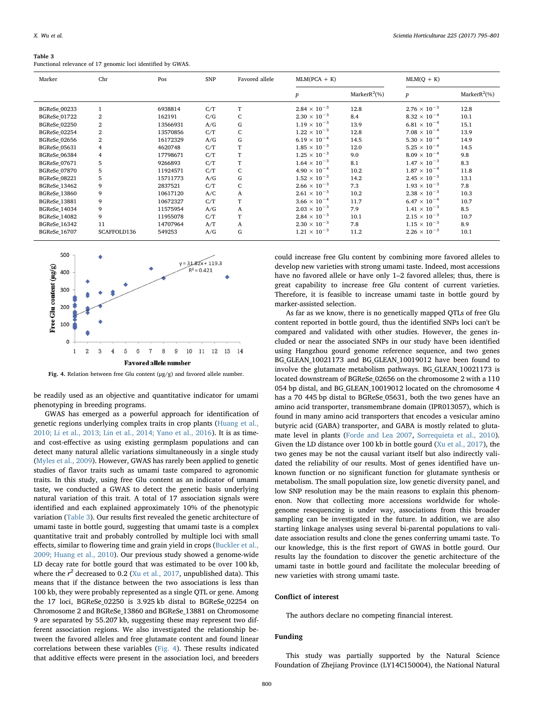#### <span id="page-5-0"></span>Table 3

Functional relevance of 17 genomic loci identified by GWAS.

| Marker              | Chr              | Pos      | <b>SNP</b> | Favored allele | $MLM(PCA + K)$        |                  | $MLM(Q + K)$          |                  |
|---------------------|------------------|----------|------------|----------------|-----------------------|------------------|-----------------------|------------------|
|                     |                  |          |            |                | $\boldsymbol{p}$      | Marker $R^2$ (%) | $\boldsymbol{p}$      | Marker $R^2$ (%) |
| BGReSe_00233        | $\mathbf{1}$     | 6938814  | C/T        | T              | $2.84 \times 10^{-3}$ | 12.8             | $2.76 \times 10^{-3}$ | 12.8             |
| <b>BGReSe_01722</b> | $\boldsymbol{2}$ | 162191   | C/G        | C              | $2.30 \times 10^{-3}$ | 8.4              | $8.32 \times 10^{-4}$ | 10.1             |
| <b>BGReSe_02250</b> | $\boldsymbol{2}$ | 13566931 | A/G        | G              | $1.19 \times 10^{-3}$ | 13.9             | $6.81 \times 10^{-4}$ | 15.1             |
| <b>BGReSe_02254</b> | $\,2$            | 13570856 | C/T        | C              | $1.22 \times 10^{-3}$ | 12.8             | $7.08 \times 10^{-4}$ | 13.9             |
| <b>BGReSe 02656</b> | $\,2$            | 16172329 | A/G        | G              | $6.19 \times 10^{-4}$ | 14.5             | $5.30 \times 10^{-4}$ | 14.9             |
| BGReSe_05631        | 4                | 4620748  | C/T        | T              | $1.85 \times 10^{-3}$ | 12.0             | $5.25 \times 10^{-4}$ | 14.5             |
| <b>BGReSe_06384</b> | $\overline{4}$   | 17798671 | C/T        | T              | $1.25 \times 10^{-3}$ | 9.0              | $8.09 \times 10^{-4}$ | 9.8              |
| <b>BGReSe 07671</b> | 5                | 9266893  | C/T        | T              | $1.64 \times 10^{-3}$ | 8.1              | $1.47 \times 10^{-3}$ | 8.3              |
| BGReSe_07870        | 5                | 11924571 | C/T        | C              | $4.90 \times 10^{-4}$ | 10.2             | $1.87 \times 10^{-4}$ | 11.8             |
| <b>BGReSe 08221</b> | 5                | 15711773 | A/G        | G              | $1.52 \times 10^{-3}$ | 14.2             | $2.45 \times 10^{-3}$ | 13.1             |
| BGReSe_13462        | 9                | 2837521  | C/T        | C              | $2.66 \times 10^{-3}$ | 7.3              | $1.93 \times 10^{-3}$ | 7.8              |
| BGReSe_13860        | 9                | 10617120 | A/C        | A              | $2.61 \times 10^{-3}$ | 10.2             | $2.38 \times 10^{-3}$ | 10.3             |
| <b>BGReSe_13881</b> | 9                | 10672327 | C/T        | T              | $3.66 \times 10^{-4}$ | 11.7             | $6.47 \times 10^{-4}$ | 10.7             |
| <b>BGReSe_14034</b> | 9                | 11575954 | A/G        | A              | $2.03 \times 10^{-3}$ | 7.9              | $1.41 \times 10^{-3}$ | 8.5              |
| <b>BGReSe_14082</b> | 9                | 11955078 | C/T        | T              | $2.84 \times 10^{-3}$ | 10.1             | $2.15 \times 10^{-3}$ | 10.7             |
| BGReSe_16342        | 11               | 14707964 | A/T        | A              | $2.30 \times 10^{-3}$ | 7.8              | $1.15 \times 10^{-3}$ | 8.9              |
| <b>BGReSe_16707</b> | SCAFFOLD136      | 549253   | A/G        | G              | $1.21 \times 10^{-3}$ | 11.2             | $2.26 \times 10^{-3}$ | 10.1             |

<span id="page-5-1"></span>

Fig. 4. Relation between free Glu content (μg/g) and favored allele number.

be readily used as an objective and quantitative indicator for umami phenotyping in breeding programs.

GWAS has emerged as a powerful approach for identification of genetic regions underlying complex traits in crop plants ([Huang et al.,](#page-6-18) [2010; Li et al., 2013; Lin et al., 2014; Yano et al., 2016](#page-6-18)). It is as timeand cost-effective as using existing germplasm populations and can detect many natural allelic variations simultaneously in a single study ([Myles et al., 2009\)](#page-6-19). However, GWAS has rarely been applied to genetic studies of flavor traits such as umami taste compared to agronomic traits. In this study, using free Glu content as an indicator of umami taste, we conducted a GWAS to detect the genetic basis underlying natural variation of this trait. A total of 17 association signals were identified and each explained approximately 10% of the phenotypic variation [\(Table 3\)](#page-5-0). Our results first revealed the genetic architecture of umami taste in bottle gourd, suggesting that umami taste is a complex quantitative trait and probably controlled by multiple loci with small effects, similar to flowering time and grain yield in crops [\(Buckler et al.,](#page-6-20) [2009; Huang et al., 2010\)](#page-6-20). Our previous study showed a genome-wide LD decay rate for bottle gourd that was estimated to be over 100 kb, where the  $r^2$  decreased to 0.2 ([Xu et al., 2017](#page-6-21), unpublished data). This means that if the distance between the two associations is less than 100 kb, they were probably represented as a single QTL or gene. Among the 17 loci, BGReSe\_02250 is 3.925 kb distal to BGReSe\_02254 on Chromosome 2 and BGReSe\_13860 and BGReSe\_13881 on Chromosome 9 are separated by 55.207 kb, suggesting these may represent two different association regions. We also investigated the relationship between the favored alleles and free glutamate content and found linear correlations between these variables ([Fig. 4](#page-5-1)). These results indicated that additive effects were present in the association loci, and breeders

could increase free Glu content by combining more favored alleles to develop new varieties with strong umami taste. Indeed, most accessions have no favored allele or have only 1–2 favored alleles; thus, there is great capability to increase free Glu content of current varieties. Therefore, it is feasible to increase umami taste in bottle gourd by marker-assisted selection.

As far as we know, there is no genetically mapped QTLs of free Glu content reported in bottle gourd, thus the identified SNPs loci can't be compared and validated with other studies. However, the genes included or near the associated SNPs in our study have been identified using Hangzhou gourd genome reference sequence, and two genes BG GLEAN 10021173 and BG GLEAN 10019012 have been found to involve the glutamate metabolism pathways. BG\_GLEAN\_10021173 is located downstream of BGReSe\_02656 on the chromosome 2 with a 110 054 bp distal, and BG\_GLEAN\_10019012 located on the chromosome 4 has a 70 445 bp distal to BGReSe\_05631, both the two genes have an amino acid transporter, transmembrane domain (IPR013057), which is found in many amino acid transporters that encodes a vesicular amino butyric acid (GABA) transporter, and GABA is mostly related to glutamate level in plants [\(Forde and Lea 2007](#page-6-22), [Sorrequieta et al., 2010](#page-6-23)). Given the LD distance over 100 kb in bottle gourd ([Xu et al., 2017](#page-6-21)), the two genes may be not the causal variant itself but also indirectly validated the reliability of our results. Most of genes identified have unknown function or no significant function for glutamate synthesis or metabolism. The small population size, low genetic diversity panel, and low SNP resolution may be the main reasons to explain this phenomenon. Now that collecting more accessions worldwide for wholegenome resequencing is under way, associations from this broader sampling can be investigated in the future. In addition, we are also starting linkage analyses using several bi-parental populations to validate association results and clone the genes conferring umami taste. To our knowledge, this is the first report of GWAS in bottle gourd. Our results lay the foundation to discover the genetic architecture of the umami taste in bottle gourd and facilitate the molecular breeding of new varieties with strong umami taste.

## Conflict of interest

The authors declare no competing financial interest.

## Funding

This study was partially supported by the Natural Science Foundation of Zhejiang Province (LY14C150004), the National Natural